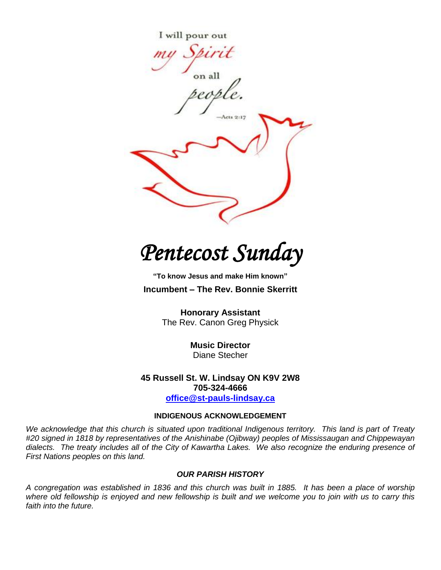

*Pentecost Sunday* 

**"To know Jesus and make Him known" Incumbent – The Rev. Bonnie Skerritt**

> **Honorary Assistant**  The Rev. Canon Greg Physick

> > **Music Director** Diane Stecher

**45 Russell St. W. Lindsay ON K9V 2W8 705-324-4666 [office@st-pauls-lindsay.ca](mailto:office@st-pauls-lindsay.ca)**

# **INDIGENOUS ACKNOWLEDGEMENT**

*We acknowledge that this church is situated upon traditional Indigenous territory. This land is part of Treaty #20 signed in 1818 by representatives of the Anishinabe (Ojibway) peoples of Mississaugan and Chippewayan dialects. The treaty includes all of the City of Kawartha Lakes. We also recognize the enduring presence of First Nations peoples on this land.*

#### *OUR PARISH HISTORY*

*A congregation was established in 1836 and this church was built in 1885. It has been a place of worship*  where old fellowship is enjoyed and new fellowship is built and we welcome you to join with us to carry this *faith into the future.*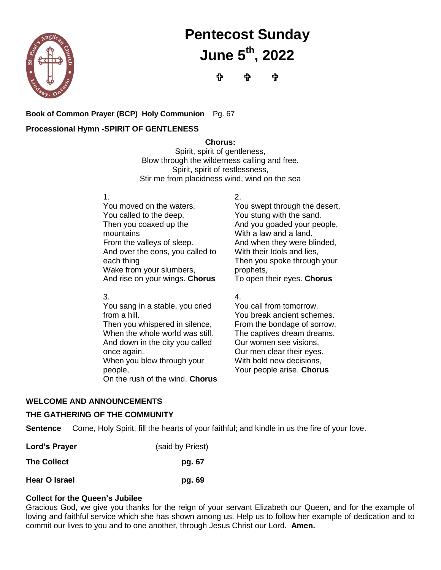

# **Pentecost Sunday June 5 th , 2022**

**ी ਹੈ ਹੈ** 

# **Book of Common Prayer (BCP) Holy Communion** Pg. 67

## **Processional Hymn -SPIRIT OF GENTLENESS**

**Chorus:**

Spirit, spirit of gentleness, Blow through the wilderness calling and free. Spirit, spirit of restlessness, Stir me from placidness wind, wind on the sea

1.

You moved on the waters, You called to the deep. Then you coaxed up the mountains From the valleys of sleep. And over the eons, you called to each thing Wake from your slumbers, And rise on your wings. **Chorus**

3.

You sang in a stable, you cried from a hill. Then you whispered in silence, When the whole world was still. And down in the city you called once again. When you blew through your people, On the rush of the wind. **Chorus** 2. You swept through the desert, You stung with the sand. And you goaded your people, With a law and a land. And when they were blinded, With their Idols and lies, Then you spoke through your prophets,

To open their eyes. **Chorus**

4.

You call from tomorrow, You break ancient schemes. From the bondage of sorrow, The captives dream dreams. Our women see visions, Our men clear their eyes. With bold new decisions, Your people arise. **Chorus**

# **WELCOME AND ANNOUNCEMENTS**

#### **THE GATHERING OF THE COMMUNITY**

**Sentence** Come, Holy Spirit, fill the hearts of your faithful; and kindle in us the fire of your love.

| Lord's Prayer      | (said by Priest) |
|--------------------|------------------|
| <b>The Collect</b> | pg. 67           |
| Hear O Israel      | pg. 69           |

#### **Collect for the Queen's Jubilee**

Gracious God, we give you thanks for the reign of your servant Elizabeth our Queen, and for the example of loving and faithful service which she has shown among us. Help us to follow her example of dedication and to commit our lives to you and to one another, through Jesus Christ our Lord. **Amen.**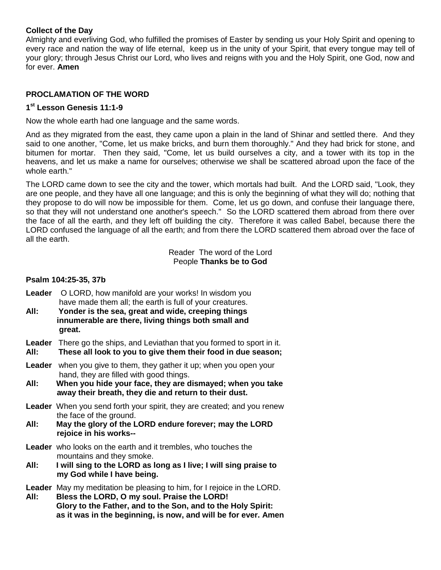#### **Collect of the Day**

Almighty and everliving God, who fulfilled the promises of Easter by sending us your Holy Spirit and opening to every race and nation the way of life eternal, keep us in the unity of your Spirit, that every tongue may tell of your glory; through Jesus Christ our Lord, who lives and reigns with you and the Holy Spirit, one God, now and for ever. **Amen**

## **PROCLAMATION OF THE WORD**

## **1 st Lesson Genesis 11:1-9**

Now the whole earth had one language and the same words.

And as they migrated from the east, they came upon a plain in the land of Shinar and settled there. And they said to one another, "Come, let us make bricks, and burn them thoroughly." And they had brick for stone, and bitumen for mortar. Then they said, "Come, let us build ourselves a city, and a tower with its top in the heavens, and let us make a name for ourselves; otherwise we shall be scattered abroad upon the face of the whole earth."

The LORD came down to see the city and the tower, which mortals had built. And the LORD said, "Look, they are one people, and they have all one language; and this is only the beginning of what they will do; nothing that they propose to do will now be impossible for them. Come, let us go down, and confuse their language there, so that they will not understand one another's speech." So the LORD scattered them abroad from there over the face of all the earth, and they left off building the city. Therefore it was called Babel, because there the LORD confused the language of all the earth; and from there the LORD scattered them abroad over the face of all the earth.

> Reader The word of the Lord People **Thanks be to God**

#### **Psalm 104:25-35, 37b**

- **Leader** O LORD, how manifold are your works! In wisdom you have made them all; the earth is full of your creatures.
- **All: Yonder is the sea, great and wide, creeping things innumerable are there, living things both small and great.**

**Leader** There go the ships, and Leviathan that you formed to sport in it.

**All: These all look to you to give them their food in due season;**

- Leader when you give to them, they gather it up; when you open your hand, they are filled with good things.
- **All: When you hide your face, they are dismayed; when you take away their breath, they die and return to their dust.**
- **Leader** When you send forth your spirit, they are created; and you renew the face of the ground.
- **All: May the glory of the LORD endure forever; may the LORD rejoice in his works--**
- **Leader** who looks on the earth and it trembles, who touches the mountains and they smoke.
- **All: I will sing to the LORD as long as I live; I will sing praise to my God while I have being.**

**Leader** May my meditation be pleasing to him, for I rejoice in the LORD.

**All: Bless the LORD, O my soul. Praise the LORD! Glory to the Father, and to the Son, and to the Holy Spirit: as it was in the beginning, is now, and will be for ever. Amen**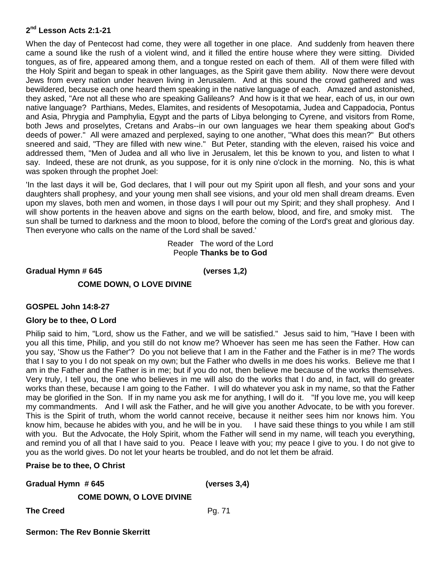#### **2 nd Lesson Acts 2:1-21**

When the day of Pentecost had come, they were all together in one place. And suddenly from heaven there came a sound like the rush of a violent wind, and it filled the entire house where they were sitting. Divided tongues, as of fire, appeared among them, and a tongue rested on each of them. All of them were filled with the Holy Spirit and began to speak in other languages, as the Spirit gave them ability. Now there were devout Jews from every nation under heaven living in Jerusalem. And at this sound the crowd gathered and was bewildered, because each one heard them speaking in the native language of each. Amazed and astonished, they asked, "Are not all these who are speaking Galileans? And how is it that we hear, each of us, in our own native language? Parthians, Medes, Elamites, and residents of Mesopotamia, Judea and Cappadocia, Pontus and Asia, Phrygia and Pamphylia, Egypt and the parts of Libya belonging to Cyrene, and visitors from Rome, both Jews and proselytes, Cretans and Arabs--in our own languages we hear them speaking about God's deeds of power." All were amazed and perplexed, saying to one another, "What does this mean?" But others sneered and said, "They are filled with new wine." But Peter, standing with the eleven, raised his voice and addressed them, "Men of Judea and all who live in Jerusalem, let this be known to you, and listen to what I say. Indeed, these are not drunk, as you suppose, for it is only nine o'clock in the morning. No, this is what was spoken through the prophet Joel:

'In the last days it will be, God declares, that I will pour out my Spirit upon all flesh, and your sons and your daughters shall prophesy, and your young men shall see visions, and your old men shall dream dreams. Even upon my slaves, both men and women, in those days I will pour out my Spirit; and they shall prophesy. And I will show portents in the heaven above and signs on the earth below, blood, and fire, and smoky mist. The sun shall be turned to darkness and the moon to blood, before the coming of the Lord's great and glorious day. Then everyone who calls on the name of the Lord shall be saved.'

> Reader The word of the Lord People **Thanks be to God**

**Gradual Hymn # 645 (verses 1,2)**

### **COME DOWN, O LOVE DIVINE**

#### **GOSPEL John 14:8-27**

#### **Glory be to thee, O Lord**

Philip said to him, "Lord, show us the Father, and we will be satisfied." Jesus said to him, "Have I been with you all this time, Philip, and you still do not know me? Whoever has seen me has seen the Father. How can you say, 'Show us the Father'? Do you not believe that I am in the Father and the Father is in me? The words that I say to you I do not speak on my own; but the Father who dwells in me does his works. Believe me that I am in the Father and the Father is in me; but if you do not, then believe me because of the works themselves. Very truly, I tell you, the one who believes in me will also do the works that I do and, in fact, will do greater works than these, because I am going to the Father. I will do whatever you ask in my name, so that the Father may be glorified in the Son. If in my name you ask me for anything, I will do it. "If you love me, you will keep my commandments. And I will ask the Father, and he will give you another Advocate, to be with you forever. This is the Spirit of truth, whom the world cannot receive, because it neither sees him nor knows him. You know him, because he abides with you, and he will be in you. I have said these things to you while I am still with you. But the Advocate, the Holy Spirit, whom the Father will send in my name, will teach you everything, and remind you of all that I have said to you. Peace I leave with you; my peace I give to you. I do not give to you as the world gives. Do not let your hearts be troubled, and do not let them be afraid.

#### **Praise be to thee, O Christ**

| Gradual Hymn #645               | (verses $3,4$ ) |
|---------------------------------|-----------------|
| <b>COME DOWN, O LOVE DIVINE</b> |                 |

**The Creed Pg. 71**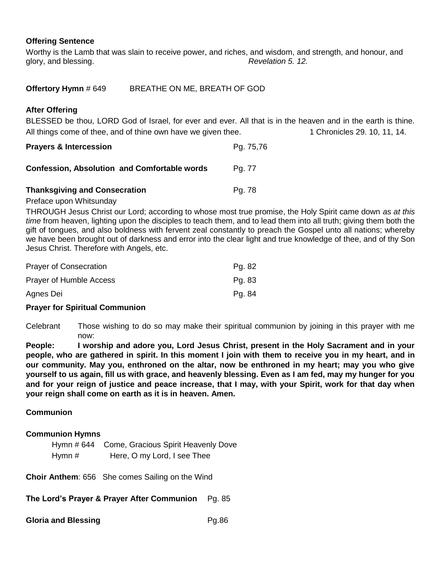## **Offering Sentence**

Worthy is the Lamb that was slain to receive power, and riches, and wisdom, and strength, and honour, and glory, and blessing. *Revelation 5. 12.*

| Offertory Hymn # 649 | BREATHE ON ME, BREATH OF GOD |
|----------------------|------------------------------|
|----------------------|------------------------------|

#### **After Offering**

BLESSED be thou, LORD God of Israel, for ever and ever. All that is in the heaven and in the earth is thine. All things come of thee, and of thine own have we given thee. 1 Chronicles 29, 10, 11, 14.

| <b>Prayers &amp; Intercession</b> | Pg. 75,76 |  |
|-----------------------------------|-----------|--|
|                                   |           |  |

| <b>Thanksgiving and Consecration</b> | Pa. 78 |
|--------------------------------------|--------|

**Confession, Absolution and Comfortable words Pg. 77** 

#### Preface upon Whitsunday

THROUGH Jesus Christ our Lord; according to whose most true promise, the Holy Spirit came down *as at this time* from heaven, lighting upon the disciples to teach them, and to lead them into all truth; giving them both the gift of tongues, and also boldness with fervent zeal constantly to preach the Gospel unto all nations; whereby we have been brought out of darkness and error into the clear light and true knowledge of thee, and of thy Son Jesus Christ. Therefore with Angels, etc.

| <b>Prayer of Consecration</b> | Pg. 82 |
|-------------------------------|--------|
| Prayer of Humble Access       | Pg. 83 |
| Agnes Dei                     | Pg. 84 |

#### **Prayer for Spiritual Communion**

Celebrant Those wishing to do so may make their spiritual communion by joining in this prayer with me now:

**People: I worship and adore you, Lord Jesus Christ, present in the Holy Sacrament and in your people, who are gathered in spirit. In this moment I join with them to receive you in my heart, and in our community. May you, enthroned on the altar, now be enthroned in my heart; may you who give yourself to us again, fill us with grace, and heavenly blessing. Even as I am fed, may my hunger for you and for your reign of justice and peace increase, that I may, with your Spirit, work for that day when your reign shall come on earth as it is in heaven. Amen.**

#### **Communion**

#### **Communion Hymns**

|          | Hymn # 644 Come, Gracious Spirit Heavenly Dove |
|----------|------------------------------------------------|
| Hymn $#$ | Here, O my Lord, I see Thee                    |

**Choir Anthem**: 656 She comes Sailing on the Wind

**The Lord's Prayer & Prayer After Communion** Pg. 85

**Gloria and Blessing**  Pg.86